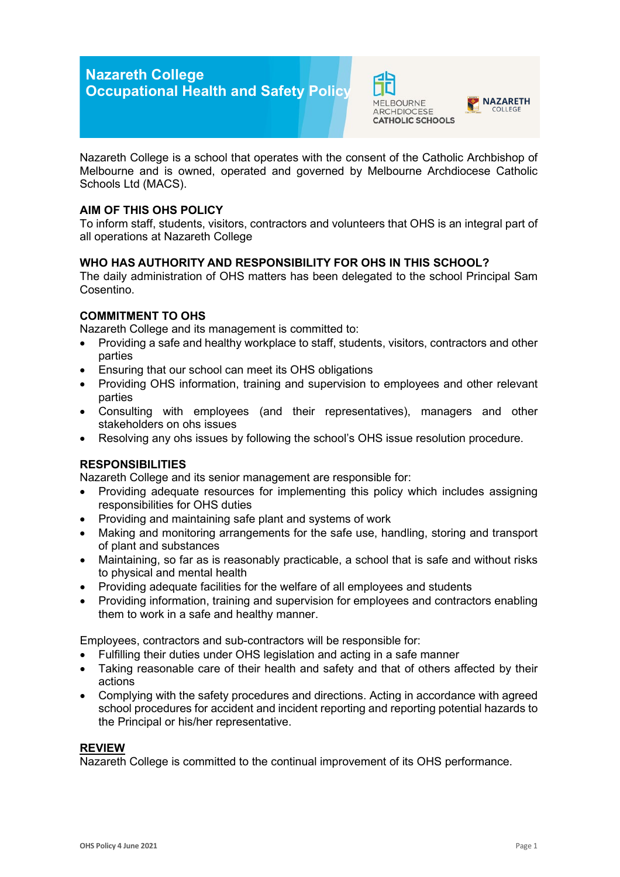# **Nazareth College Occupational Health and Safety Policy**





Nazareth College is a school that operates with the consent of the Catholic Archbishop of Melbourne and is owned, operated and governed by Melbourne Archdiocese Catholic Schools Ltd (MACS).

## **AIM OF THIS OHS POLICY**

To inform staff, students, visitors, contractors and volunteers that OHS is an integral part of all operations at Nazareth College

## **WHO HAS AUTHORITY AND RESPONSIBILITY FOR OHS IN THIS SCHOOL?**

The daily administration of OHS matters has been delegated to the school Principal Sam Cosentino.

## **COMMITMENT TO OHS**

Nazareth College and its management is committed to:

- Providing a safe and healthy workplace to staff, students, visitors, contractors and other parties
- Ensuring that our school can meet its OHS obligations
- Providing OHS information, training and supervision to employees and other relevant parties
- Consulting with employees (and their representatives), managers and other stakeholders on ohs issues
- Resolving any ohs issues by following the school's OHS issue resolution procedure.

## **RESPONSIBILITIES**

Nazareth College and its senior management are responsible for:

- Providing adequate resources for implementing this policy which includes assigning responsibilities for OHS duties
- Providing and maintaining safe plant and systems of work
- Making and monitoring arrangements for the safe use, handling, storing and transport of plant and substances
- Maintaining, so far as is reasonably practicable, a school that is safe and without risks to physical and mental health
- Providing adequate facilities for the welfare of all employees and students
- Providing information, training and supervision for employees and contractors enabling them to work in a safe and healthy manner.

Employees, contractors and sub-contractors will be responsible for:

- Fulfilling their duties under OHS legislation and acting in a safe manner
- Taking reasonable care of their health and safety and that of others affected by their actions
- Complying with the safety procedures and directions. Acting in accordance with agreed school procedures for accident and incident reporting and reporting potential hazards to the Principal or his/her representative.

#### **REVIEW**

Nazareth College is committed to the continual improvement of its OHS performance.